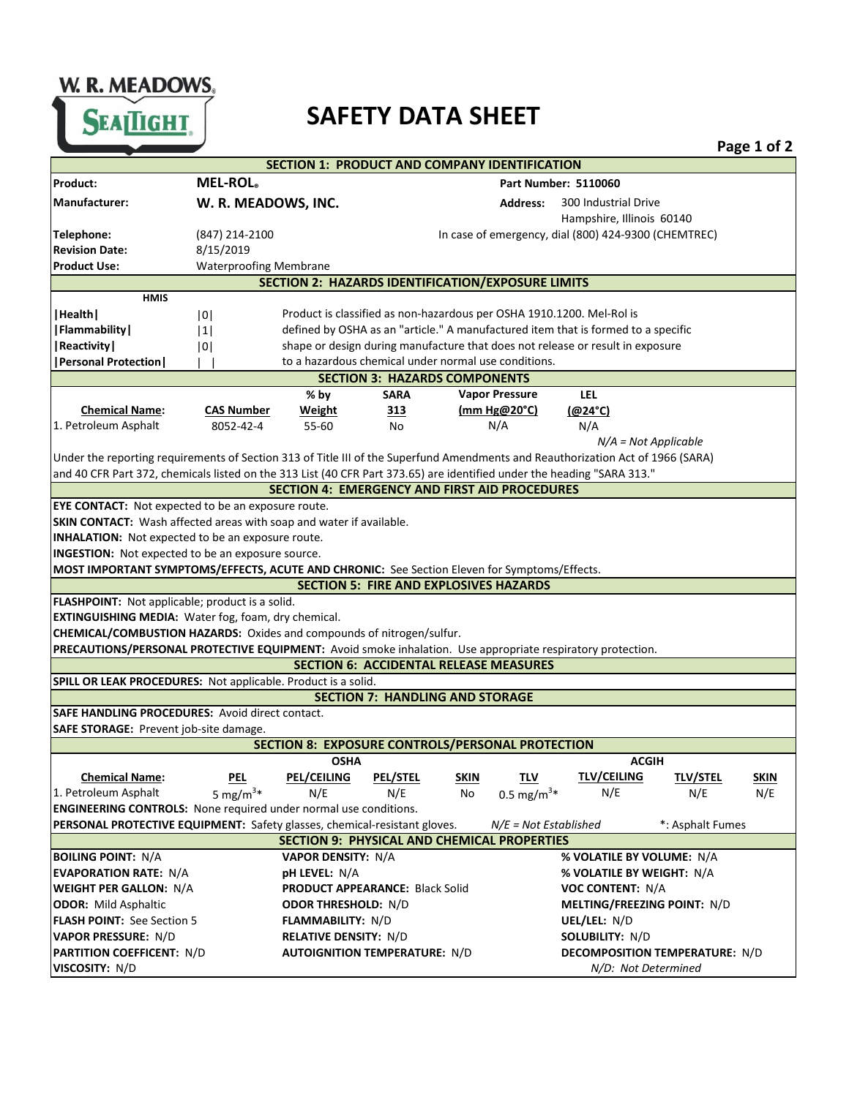W. R. MEADOWS.

## **SAFETY DATA SHEET**

|                                                                                                                                 |                                                                        |                                                                                   |                                                                                |                             |                         |                                       |                  | Page 1 of 2 |  |
|---------------------------------------------------------------------------------------------------------------------------------|------------------------------------------------------------------------|-----------------------------------------------------------------------------------|--------------------------------------------------------------------------------|-----------------------------|-------------------------|---------------------------------------|------------------|-------------|--|
|                                                                                                                                 |                                                                        | <b>SECTION 1: PRODUCT AND COMPANY IDENTIFICATION</b>                              |                                                                                |                             |                         |                                       |                  |             |  |
| Product:                                                                                                                        | <b>MEL-ROL</b> ®                                                       |                                                                                   |                                                                                | <b>Part Number: 5110060</b> |                         |                                       |                  |             |  |
| Manufacturer:                                                                                                                   | W. R. MEADOWS, INC.                                                    |                                                                                   |                                                                                |                             | <b>Address:</b>         | 300 Industrial Drive                  |                  |             |  |
|                                                                                                                                 |                                                                        |                                                                                   |                                                                                |                             |                         | Hampshire, Illinois 60140             |                  |             |  |
| Telephone:                                                                                                                      | In case of emergency, dial (800) 424-9300 (CHEMTREC)<br>(847) 214-2100 |                                                                                   |                                                                                |                             |                         |                                       |                  |             |  |
| <b>Revision Date:</b>                                                                                                           | 8/15/2019                                                              |                                                                                   |                                                                                |                             |                         |                                       |                  |             |  |
| <b>Product Use:</b>                                                                                                             | <b>Waterproofing Membrane</b>                                          |                                                                                   |                                                                                |                             |                         |                                       |                  |             |  |
| <b>SECTION 2: HAZARDS IDENTIFICATION/EXPOSURE LIMITS</b>                                                                        |                                                                        |                                                                                   |                                                                                |                             |                         |                                       |                  |             |  |
| <b>HMIS</b>                                                                                                                     |                                                                        |                                                                                   |                                                                                |                             |                         |                                       |                  |             |  |
| Health                                                                                                                          | 0                                                                      | Product is classified as non-hazardous per OSHA 1910.1200. Mel-Rol is             |                                                                                |                             |                         |                                       |                  |             |  |
| Flammability                                                                                                                    | 1                                                                      | defined by OSHA as an "article." A manufactured item that is formed to a specific |                                                                                |                             |                         |                                       |                  |             |  |
| Reactivity                                                                                                                      | 0                                                                      |                                                                                   | shape or design during manufacture that does not release or result in exposure |                             |                         |                                       |                  |             |  |
| <b>Personal Protection</b>                                                                                                      |                                                                        | to a hazardous chemical under normal use conditions.                              |                                                                                |                             |                         |                                       |                  |             |  |
| <b>SECTION 3: HAZARDS COMPONENTS</b>                                                                                            |                                                                        |                                                                                   |                                                                                |                             |                         |                                       |                  |             |  |
|                                                                                                                                 |                                                                        | $%$ by                                                                            | <b>SARA</b>                                                                    |                             | <b>Vapor Pressure</b>   | <b>LEL</b>                            |                  |             |  |
| <b>Chemical Name:</b>                                                                                                           | <b>CAS Number</b>                                                      | Weight                                                                            | 313                                                                            |                             | (mm Hg@20°C)            | $(Q24^{\circ}C)$                      |                  |             |  |
| 1. Petroleum Asphalt                                                                                                            | 8052-42-4                                                              | 55-60                                                                             | No                                                                             |                             | N/A                     | N/A                                   |                  |             |  |
|                                                                                                                                 |                                                                        |                                                                                   |                                                                                |                             |                         | $N/A = Not Applicable$                |                  |             |  |
| Under the reporting requirements of Section 313 of Title III of the Superfund Amendments and Reauthorization Act of 1966 (SARA) |                                                                        |                                                                                   |                                                                                |                             |                         |                                       |                  |             |  |
| and 40 CFR Part 372, chemicals listed on the 313 List (40 CFR Part 373.65) are identified under the heading "SARA 313."         |                                                                        |                                                                                   |                                                                                |                             |                         |                                       |                  |             |  |
|                                                                                                                                 |                                                                        | <b>SECTION 4: EMERGENCY AND FIRST AID PROCEDURES</b>                              |                                                                                |                             |                         |                                       |                  |             |  |
| <b>EYE CONTACT:</b> Not expected to be an exposure route.                                                                       |                                                                        |                                                                                   |                                                                                |                             |                         |                                       |                  |             |  |
| <b>SKIN CONTACT:</b> Wash affected areas with soap and water if available.                                                      |                                                                        |                                                                                   |                                                                                |                             |                         |                                       |                  |             |  |
| <b>INHALATION:</b> Not expected to be an exposure route.                                                                        |                                                                        |                                                                                   |                                                                                |                             |                         |                                       |                  |             |  |
| INGESTION: Not expected to be an exposure source.                                                                               |                                                                        |                                                                                   |                                                                                |                             |                         |                                       |                  |             |  |
| MOST IMPORTANT SYMPTOMS/EFFECTS, ACUTE AND CHRONIC: See Section Eleven for Symptoms/Effects.                                    |                                                                        |                                                                                   |                                                                                |                             |                         |                                       |                  |             |  |
| <b>SECTION 5: FIRE AND EXPLOSIVES HAZARDS</b>                                                                                   |                                                                        |                                                                                   |                                                                                |                             |                         |                                       |                  |             |  |
| FLASHPOINT: Not applicable; product is a solid.                                                                                 |                                                                        |                                                                                   |                                                                                |                             |                         |                                       |                  |             |  |
| <b>EXTINGUISHING MEDIA:</b> Water fog, foam, dry chemical.                                                                      |                                                                        |                                                                                   |                                                                                |                             |                         |                                       |                  |             |  |
| CHEMICAL/COMBUSTION HAZARDS: Oxides and compounds of nitrogen/sulfur.                                                           |                                                                        |                                                                                   |                                                                                |                             |                         |                                       |                  |             |  |
| PRECAUTIONS/PERSONAL PROTECTIVE EQUIPMENT: Avoid smoke inhalation. Use appropriate respiratory protection.                      |                                                                        |                                                                                   |                                                                                |                             |                         |                                       |                  |             |  |
| <b>SECTION 6: ACCIDENTAL RELEASE MEASURES</b>                                                                                   |                                                                        |                                                                                   |                                                                                |                             |                         |                                       |                  |             |  |
| SPILL OR LEAK PROCEDURES: Not applicable. Product is a solid.                                                                   |                                                                        |                                                                                   |                                                                                |                             |                         |                                       |                  |             |  |
| <b>SECTION 7: HANDLING AND STORAGE</b>                                                                                          |                                                                        |                                                                                   |                                                                                |                             |                         |                                       |                  |             |  |
| SAFE HANDLING PROCEDURES: Avoid direct contact.                                                                                 |                                                                        |                                                                                   |                                                                                |                             |                         |                                       |                  |             |  |
| SAFE STORAGE: Prevent job-site damage.                                                                                          |                                                                        |                                                                                   |                                                                                |                             |                         |                                       |                  |             |  |
| <b>SECTION 8: EXPOSURE CONTROLS/PERSONAL PROTECTION</b>                                                                         |                                                                        |                                                                                   |                                                                                |                             |                         |                                       |                  |             |  |
|                                                                                                                                 |                                                                        | <b>OSHA</b>                                                                       |                                                                                |                             |                         | <b>ACGIH</b>                          |                  |             |  |
| <b>Chemical Name:</b>                                                                                                           | <b>PEL</b>                                                             | <b>PEL/CEILING</b>                                                                | <b>PEL/STEL</b>                                                                | <b>SKIN</b>                 | <b>TLV</b>              | <b>TLV/CEILING</b>                    | <b>TLV/STEL</b>  | <b>SKIN</b> |  |
| 1. Petroleum Asphalt                                                                                                            | 5 mg/m <sup>3*</sup>                                                   | N/E                                                                               | N/E                                                                            | No                          | 0.5 mg/m <sup>3*</sup>  | N/E                                   | N/E              | N/E         |  |
| <b>ENGINEERING CONTROLS:</b> None required under normal use conditions.                                                         |                                                                        |                                                                                   |                                                                                |                             |                         |                                       |                  |             |  |
| PERSONAL PROTECTIVE EQUIPMENT: Safety glasses, chemical-resistant gloves.                                                       |                                                                        |                                                                                   |                                                                                |                             | $N/E = Not$ Established |                                       | *: Asphalt Fumes |             |  |
| <b>SECTION 9: PHYSICAL AND CHEMICAL PROPERTIES</b>                                                                              |                                                                        |                                                                                   |                                                                                |                             |                         |                                       |                  |             |  |
| <b>BOILING POINT: N/A</b>                                                                                                       |                                                                        | <b>VAPOR DENSITY: N/A</b>                                                         |                                                                                |                             |                         | % VOLATILE BY VOLUME: N/A             |                  |             |  |
| <b>EVAPORATION RATE: N/A</b>                                                                                                    |                                                                        | <b>pH LEVEL: N/A</b>                                                              |                                                                                |                             |                         | % VOLATILE BY WEIGHT: N/A             |                  |             |  |
| <b>WEIGHT PER GALLON: N/A</b>                                                                                                   |                                                                        | PRODUCT APPEARANCE: Black Solid                                                   |                                                                                |                             |                         | <b>VOC CONTENT: N/A</b>               |                  |             |  |
| <b>ODOR: Mild Asphaltic</b>                                                                                                     |                                                                        | <b>ODOR THRESHOLD: N/D</b>                                                        |                                                                                |                             |                         | MELTING/FREEZING POINT: N/D           |                  |             |  |
| <b>FLASH POINT: See Section 5</b>                                                                                               |                                                                        | <b>FLAMMABILITY: N/D</b>                                                          |                                                                                |                             |                         | UEL/LEL: N/D                          |                  |             |  |
| <b>VAPOR PRESSURE: N/D</b>                                                                                                      |                                                                        | <b>RELATIVE DENSITY: N/D</b>                                                      |                                                                                | SOLUBILITY: N/D             |                         |                                       |                  |             |  |
| <b>PARTITION COEFFICENT: N/D</b>                                                                                                |                                                                        | <b>AUTOIGNITION TEMPERATURE: N/D</b>                                              |                                                                                |                             |                         | <b>DECOMPOSITION TEMPERATURE: N/D</b> |                  |             |  |
| VISCOSITY: N/D                                                                                                                  |                                                                        |                                                                                   |                                                                                |                             |                         | N/D: Not Determined                   |                  |             |  |